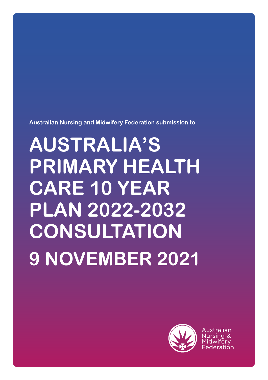**Australian Nursing and Midwifery Federation submission to**

# **AUSTRALIA'S PRIMARY HEALTH CARE 10 YEAR PLAN 2022-2032 CONSULTATION 9 NOVEMBER 2021**



Australian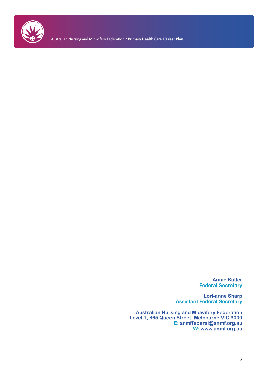

Australian Nursing and Midwifery Federation / **Primary Health Care 10 Year Plan**

**Annie Butler Federal Secretary**

**Lori-anne Sharp Assistant Federal Secretary**

**Australian Nursing and Midwifery Federation Level 1, 365 Queen Street, Melbourne VIC 3000 E: anmffederal@anmf.org.au W: www.anmf.org.au**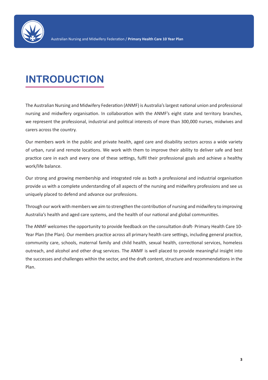

# **INTRODUCTION**

The Australian Nursing and Midwifery Federation (ANMF) is Australia's largest national union and professional nursing and midwifery organisation. In collaboration with the ANMF's eight state and territory branches, we represent the professional, industrial and political interests of more than 300,000 nurses, midwives and carers across the country.

Our members work in the public and private health, aged care and disability sectors across a wide variety of urban, rural and remote locations. We work with them to improve their ability to deliver safe and best practice care in each and every one of these settings, fulfil their professional goals and achieve a healthy work/life balance.

Our strong and growing membership and integrated role as both a professional and industrial organisation provide us with a complete understanding of all aspects of the nursing and midwifery professions and see us uniquely placed to defend and advance our professions.

Through our work with members we aim to strengthen the contribution of nursing and midwifery to improving Australia's health and aged care systems, and the health of our national and global communities.

The ANMF welcomes the opportunity to provide feedback on the consultation draft- Primary Health Care 10- Year Plan (the Plan). Our members practice across all primary health care settings, including general practice, community care, schools, maternal family and child health, sexual health, correctional services, homeless outreach, and alcohol and other drug services. The ANMF is well placed to provide meaningful insight into the successes and challenges within the sector, and the draft content, structure and recommendations in the Plan.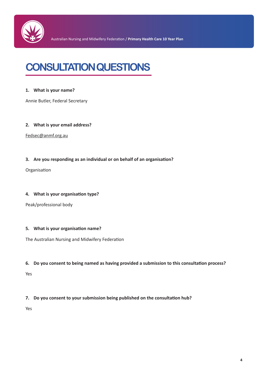

# **CONSULTATION QUESTIONS**

#### **1. What is your name?**

Annie Butler, Federal Secretary

#### **2. What is your email address?**

Fedsec@anmf.org.au

#### **3. Are you responding as an individual or on behalf of an organisation?**

Organisation

#### **4. What is your organisation type?**

Peak/professional body

#### **5. What is your organisation name?**

The Australian Nursing and Midwifery Federation

#### **6. Do you consent to being named as having provided a submission to this consultation process?**

Yes

#### **7. Do you consent to your submission being published on the consultation hub?**

Yes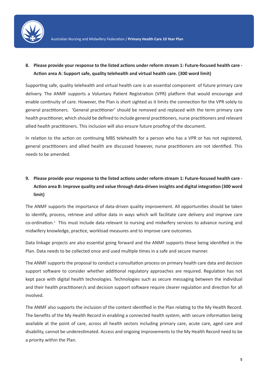

### **8. Please provide your response to the listed actions under reform stream 1: Future-focused health care - Action area A: Support safe, quality telehealth and virtual health care. (300 word limit)**

Supporting safe, quality telehealth and virtual health care is an essential component of future primary care delivery. The ANMF supports a Voluntary Patient Registration (VPR) platform that would encourage and enable continuity of care. However, the Plan is short sighted as it limits the connection for the VPR solely to general practitioners. 'General practitioner' should be removed and replaced with the term primary care health practitioner, which should be defined to include general practitioners, nurse practitioners and relevant allied health practitioners. This inclusion will also ensure future proofing of the document.

In relation to the action on continuing MBS telehealth for a person who has a VPR or has not registered, general practitioners and allied health are discussed however, nurse practitioners are not identified. This needs to be amended.

# **9. Please provide your response to the listed actions under reform stream 1: Future-focused health care - Action area B: Improve quality and value through data-driven insights and digital integration (300 word limit)**

The ANMF supports the importance of data-driven quality improvement. All opportunities should be taken to identify, process, retrieve and utilise data in ways which will facilitate care delivery and improve care co-ordination.<sup>1</sup> This must include data relevant to nursing and midwifery services to advance nursing and midwifery knowledge, practice, workload measures and to improve care outcomes.

Data linkage projects are also essential going forward and the ANMF supports these being identified in the Plan. Data needs to be collected once and used multiple times in a safe and secure manner.

The ANMF supports the proposal to conduct a consultation process on primary health care data and decision support software to consider whether additional regulatory approaches are required. Regulation has not kept pace with digital health technologies. Technologies such as secure messaging between the individual and their health practitioner/s and decision support software require clearer regulation and direction for all involved.

The ANMF also supports the inclusion of the content identified in the Plan relating to the My Health Record. The benefits of the My Health Record in enabling a connected health system, with secure information being available at the point of care, across all health sectors including primary care, acute care, aged care and disability, cannot be underestimated. Access and ongoing improvements to the My Health Record need to be a priority within the Plan.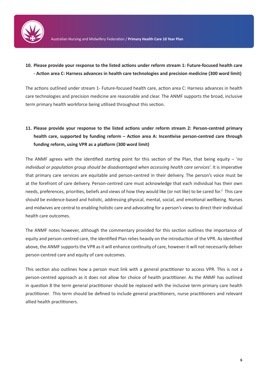

### **10. Please provide your response to the listed actions under reform stream 1: Future-focused health care - Action area C: Harness advances in health care technologies and precision medicine (300 word limit)**

The actions outlined under stream 1- Future-focused health care, action area C: Harness advances in health care technologies and precision medicine are reasonable and clear. The ANMF supports the broad, inclusive term primary health workforce being utilised throughout this section.

# **11. Please provide your response to the listed actions under reform stream 2: Person-centred primary health care, supported by funding reform – Action area A: Incentivise person-centred care through funding reform, using VPR as a platform (300 word limit)**

The ANMF agrees with the identified starting point for this section of the Plan, that being equity – '*no individual or population group should be disadvantaged when accessing health care services*'. It is imperative that primary care services are equitable and person-centred in their delivery. The person's voice must be at the forefront of care delivery. Person-centred care must acknowledge that each individual has their own needs, preferences, priorities, beliefs and views of how they would like (or not like) to be cared for.<sup>2</sup> This care should be evidence-based and holistic, addressing physical, mental, social, and emotional wellbeing. Nurses and midwives are central to enabling holistic care and advocating for a person's views to direct their individual health care outcomes.

The ANMF notes however, although the commentary provided for this section outlines the importance of equity and person-centred care, the identified Plan relies heavily on the introduction of the VPR. As identified above, the ANMF supports the VPR as it will enhance continuity of care, however it will not necessarily deliver person-centred care and equity of care outcomes.

This section also outlines how a person must link with a general practitioner to access VPR. This is not a person-centred approach as it does not allow for choice of health practitioner. As the ANMF has outlined in question 8 the term general practitioner should be replaced with the inclusive term primary care health practitioner. This term should be defined to include general practitioners, nurse practitioners and relevant allied health practitioners.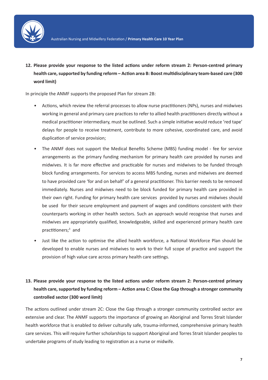

**12. Please provide your response to the listed actions under reform stream 2: Person-centred primary health care, supported by funding reform – Action area B: Boost multidisciplinary team-based care (300 word limit)**

In principle the ANMF supports the proposed Plan for stream 2B:

- Actions, which review the referral processes to allow nurse practitioners (NPs), nurses and midwives working in general and primary care practices to refer to allied health practitioners directly without a medical practitioner intermediary, must be outlined. Such a simple initiative would reduce 'red tape' delays for people to receive treatment, contribute to more cohesive, coordinated care, and avoid duplication of service provision;
- The ANMF does not support the Medical Benefits Scheme (MBS) funding model fee for service arrangements as the primary funding mechanism for primary health care provided by nurses and midwives. It is far more effective and practicable for nurses and midwives to be funded through block funding arrangements. For services to access MBS funding, nurses and midwives are deemed to have provided care 'for and on behalf' of a general practitioner. This barrier needs to be removed immediately. Nurses and midwives need to be block funded for primary health care provided in their own right. Funding for primary health care services provided by nurses and midwives should be used for their secure employment and payment of wages and conditions consistent with their counterparts working in other health sectors. Such an approach would recognise that nurses and midwives are appropriately qualified, knowledgeable, skilled and experienced primary health care practitioners;<sup>3</sup> and
- Just like the action to optimise the allied health workforce, a National Workforce Plan should be developed to enable nurses and midwives to work to their full scope of practice and support the provision of high value care across primary health care settings.

# **13. Please provide your response to the listed actions under reform stream 2: Person-centred primary health care, supported by funding reform – Action area C: Close the Gap through a stronger community controlled sector (300 word limit)**

The actions outlined under stream 2C: Close the Gap through a stronger community controlled sector are extensive and clear. The ANMF supports the importance of growing an Aboriginal and Torres Strait Islander health workforce that is enabled to deliver culturally safe, trauma-informed, comprehensive primary health care services. This will require further scholarships to support Aboriginal and Torres Strait Islander peoples to undertake programs of study leading to registration as a nurse or midwife.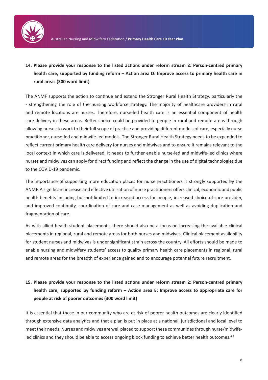

# **14. Please provide your response to the listed actions under reform stream 2: Person-centred primary health care, supported by funding reform – Action area D: Improve access to primary health care in rural areas (300 word limit)**

The ANMF supports the action to continue and extend the Stronger Rural Health Strategy, particularly the - strengthening the role of the nursing workforce strategy. The majority of healthcare providers in rural and remote locations are nurses. Therefore, nurse-led health care is an essential component of health care delivery in these areas. Better choice could be provided to people in rural and remote areas through allowing nurses to work to their full scope of practice and providing different models of care, especially nurse practitioner, nurse-led and midwife-led models. The Stronger Rural Health Strategy needs to be expanded to reflect current primary health care delivery for nurses and midwives and to ensure it remains relevant to the local context in which care is delivered. It needs to further enable nurse-led and midwife-led clinics where nurses and midwives can apply for direct funding and reflect the change in the use of digital technologies due to the COVID-19 pandemic.

The importance of supporting more education places for nurse practitioners is strongly supported by the ANMF. A significant increase and effective utilisation of nurse practitioners offers clinical, economic and public health benefits including but not limited to increased access for people, increased choice of care provider, and improved continuity, coordination of care and case management as well as avoiding duplication and fragmentation of care.

As with allied health student placements, there should also be a focus on increasing the available clinical placements in regional, rural and remote areas for both nurses and midwives. Clinical placement availability for student nurses and midwives is under significant strain across the country. All efforts should be made to enable nursing and midwifery students' access to quality primary health care placements in regional, rural and remote areas for the breadth of experience gained and to encourage potential future recruitment.

# **15. Please provide your response to the listed actions under reform stream 2: Person-centred primary health care, supported by funding reform – Action area E: Improve access to appropriate care for people at risk of poorer outcomes (300 word limit)**

It is essential that those in our community who are at risk of poorer health outcomes are clearly identified through extensive data analytics and that a plan is put in place at a national, jurisdictional and local level to meet their needs. Nurses and midwives are well placed to support these communities through nurse/midwifeled clinics and they should be able to access ongoing block funding to achieve better health outcomes.<sup>45</sup>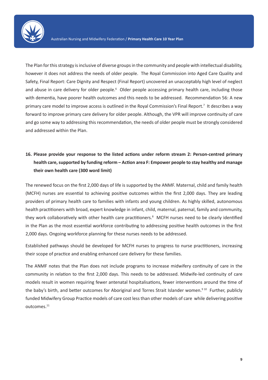

The Plan for this strategy is inclusive of diverse groups in the community and people with intellectual disability, however it does not address the needs of older people. The Royal Commission into Aged Care Quality and Safety, Final Report: Care Dignity and Respect (Final Report) uncovered an unacceptably high level of neglect and abuse in care delivery for older people.<sup>6</sup> Older people accessing primary health care, including those with dementia, have poorer health outcomes and this needs to be addressed. Recommendation 56: A new primary care model to improve access is outlined in the Royal Commission's Final Report.<sup>7</sup> It describes a way forward to improve primary care delivery for older people. Although, the VPR will improve continuity of care and go some way to addressing this recommendation, the needs of older people must be strongly considered and addressed within the Plan.

# **16. Please provide your response to the listed actions under reform stream 2: Person-centred primary health care, supported by funding reform – Action area F: Empower people to stay healthy and manage their own health care (300 word limit)**

The renewed focus on the first 2,000 days of life is supported by the ANMF. Maternal, child and family health (MCFH) nurses are essential to achieving positive outcomes within the first 2,000 days. They are leading providers of primary health care to families with infants and young children. As highly skilled, autonomous health practitioners with broad, expert knowledge in infant, child, maternal, paternal, family and community, they work collaboratively with other health care practitioners.<sup>8</sup> MCFH nurses need to be clearly identified in the Plan as the most essential workforce contributing to addressing positive health outcomes in the first 2,000 days. Ongoing workforce planning for these nurses needs to be addressed.

Established pathways should be developed for MCFH nurses to progress to nurse practitioners, increasing their scope of practice and enabling enhanced care delivery for these families.

The ANMF notes that the Plan does not include programs to increase midwifery continuity of care in the community in relation to the first 2,000 days. This needs to be addressed. Midwife-led continuity of care models result in women requiring fewer antenatal hospitalisations, fewer interventions around the time of the baby's birth, and better outcomes for Aboriginal and Torres Strait Islander women.<sup>9 10</sup> Further, publicly funded Midwifery Group Practice models of care cost less than other models of care while delivering positive outcomes.11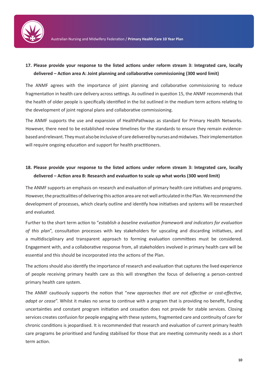

### **17. Please provide your response to the listed actions under reform stream 3: Integrated care, locally delivered – Action area A: Joint planning and collaborative commissioning (300 word limit)**

The ANMF agrees with the importance of joint planning and collaborative commissioning to reduce fragmentation in health care delivery across settings. As outlined in question 15, the ANMF recommends that the health of older people is specifically identified in the list outlined in the medium term actions relating to the development of joint regional plans and collaborative commissioning.

The ANMF supports the use and expansion of HealthPathways as standard for Primary Health Networks. However, there need to be established review timelines for the standards to ensure they remain evidencebased and relevant. They must also be inclusive of care delivered by nurses and midwives. Their implementation will require ongoing education and support for health practitioners.

### **18. Please provide your response to the listed actions under reform stream 3: Integrated care, locally delivered – Action area B: Research and evaluation to scale up what works (300 word limit)**

The ANMF supports an emphasis on research and evaluation of primary health care initiatives and programs. However, the practicalities of delivering this action area are not well articulated in the Plan. We recommend the development of processes, which clearly outline and identify how initiatives and systems will be researched and evaluated.

Further to the short term action to "*establish a baseline evaluation framework and indicators for evaluation of this plan*", consultation processes with key stakeholders for upscaling and discarding initiatives, and a multidisciplinary and transparent approach to forming evaluation committees must be considered. Engagement with, and a collaborative response from, all stakeholders involved in primary health care will be essential and this should be incorporated into the actions of the Plan.

The actions should also identify the importance of research and evaluation that captures the lived experience of people receiving primary health care as this will strengthen the focus of delivering a person-centred primary health care system.

The ANMF cautiously supports the notion that "*new approaches that are not effective or cost-effective, adapt or cease*". Whilst it makes no sense to continue with a program that is providing no benefit, funding uncertainties and constant program initiation and cessation does not provide for stable services. Closing services creates confusion for people engaging with these systems, fragmented care and continuity of care for chronic conditions is jeopardised. It is recommended that research and evaluation of current primary health care programs be prioritised and funding stabilised for those that are meeting community needs as a short term action.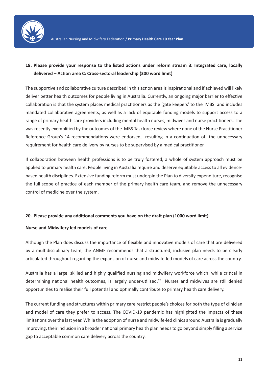

### **19. Please provide your response to the listed actions under reform stream 3: Integrated care, locally delivered – Action area C: Cross-sectoral leadership (300 word limit)**

The supportive and collaborative culture described in this action area is inspirational and if achieved will likely deliver better health outcomes for people living in Australia. Currently, an ongoing major barrier to effective collaboration is that the system places medical practitioners as the 'gate keepers' to the MBS and includes mandated collaborative agreements, as well as a lack of equitable funding models to support access to a range of primary health care providers including mental health nurses, midwives and nurse practitioners. The was recently exemplified by the outcomes of the MBS Taskforce review where none of the Nurse Practitioner Reference Group's 14 recommendations were endorsed, resulting in a continuation of the unnecessary requirement for health care delivery by nurses to be supervised by a medical practitioner.

If collaboration between health professions is to be truly fostered, a whole of system approach must be applied to primary health care. People living in Australia require and deserve equitable access to all evidencebased health disciplines. Extensive funding reform must underpin the Plan to diversify expenditure, recognise the full scope of practice of each member of the primary health care team, and remove the unnecessary control of medicine over the system.

#### **20. Please provide any additional comments you have on the draft plan (1000 word limit)**

#### **Nurse and Midwifery led models of care**

Although the Plan does discuss the importance of flexible and innovative models of care that are delivered by a multidisciplinary team, the ANMF recommends that a structured, inclusive plan needs to be clearly articulated throughout regarding the expansion of nurse and midwife-led models of care across the country.

Australia has a large, skilled and highly qualified nursing and midwifery workforce which, while critical in determining national health outcomes, is largely under-utilised.<sup>12</sup> Nurses and midwives are still denied opportunities to realise their full potential and optimally contribute to primary health care delivery.

The current funding and structures within primary care restrict people's choices for both the type of clinician and model of care they prefer to access. The COVID-19 pandemic has highlighted the impacts of these limitations over the last year. While the adoption of nurse and midwife-led clinics around Australia is gradually improving, their inclusion in a broader national primary health plan needs to go beyond simply filling a service gap to acceptable common care delivery across the country.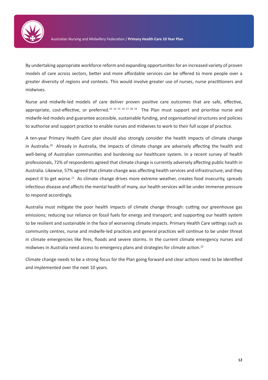

By undertaking appropriate workforce reform and expanding opportunities for an increased variety of proven models of care across sectors, better and more affordable services can be offered to more people over a greater diversity of regions and contexts. This would involve greater use of nurses, nurse practitioners and midwives.

Nurse and midwife-led models of care deliver proven positive care outcomes that are safe, effective, appropriate, cost-effective, or preferred.<sup>13 14 15 16 17 18 19</sup> The Plan must support and prioritise nurse and midwife-led models and guarantee accessible, sustainable funding, and organisational structures and policies to authorise and support practice to enable nurses and midwives to work to their full scope of practice.

A ten-year Primary Health Care plan should also strongly consider the health impacts of climate change in Australia.<sup>20</sup> Already in Australia, the impacts of climate change are adversely affecting the health and well-being of Australian communities and burdening our healthcare system. In a recent survey of health professionals, 72% of respondents agreed that climate change is currently adversely affecting public health in Australia. Likewise, 57% agreed that climate change was affecting health services and infrastructure, and they expect it to get worse.<sup>21</sup> As climate change drives more extreme weather, creates food insecurity, spreads infectious disease and affects the mental health of many, our health services will be under immense pressure to respond accordingly.

Australia must mitigate the poor health impacts of climate change through: cutting our greenhouse gas emissions; reducing our reliance on fossil fuels for energy and transport; and supporting our health system to be resilient and sustainable in the face of worsening climate impacts. Primary Health Care settings such as community centres, nurse and midwife-led practices and general practices will continue to be under threat in climate emergencies like fires, floods and severe storms. In the current climate emergency nurses and midwives in Australia need access to emergency plans and strategies for climate action.<sup>22</sup>

Climate change needs to be a strong focus for the Plan going forward and clear actions need to be identified and implemented over the next 10 years.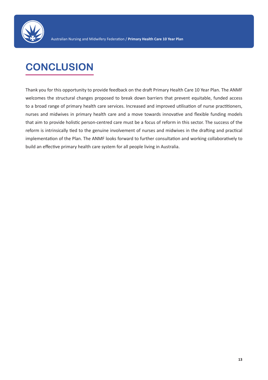

# **CONCLUSION**

Thank you for this opportunity to provide feedback on the draft Primary Health Care 10 Year Plan. The ANMF welcomes the structural changes proposed to break down barriers that prevent equitable, funded access to a broad range of primary health care services. Increased and improved utilisation of nurse practitioners, nurses and midwives in primary health care and a move towards innovative and flexible funding models that aim to provide holistic person-centred care must be a focus of reform in this sector. The success of the reform is intrinsically tied to the genuine involvement of nurses and midwives in the drafting and practical implementation of the Plan. The ANMF looks forward to further consultation and working collaboratively to build an effective primary health care system for all people living in Australia.